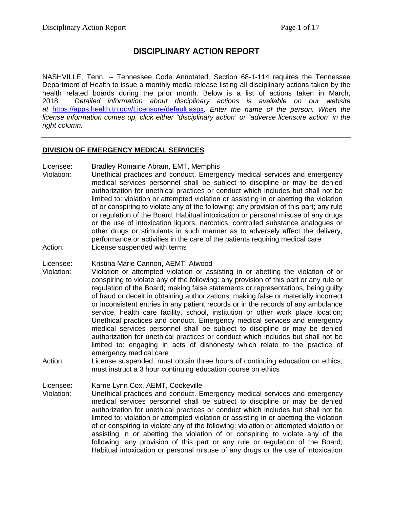# **DISCIPLINARY ACTION REPORT**

NASHVILLE, Tenn. -- Tennessee Code Annotated, Section 68-1-114 requires the Tennessee Department of Health to issue a monthly media release listing all disciplinary actions taken by the health related boards during the prior month. Below is a list of actions taken in March, 2018. *Detailed information about disciplinary actions is available on our website at* <https://apps.health.tn.gov/Licensure/default.aspx>*. Enter the name of the person. When the license information comes up, click either "disciplinary action" or "adverse licensure action" in the right column.*

#### **DIVISION OF EMERGENCY MEDICAL SERVICES**

- Licensee: Bradley Romaine Abram, EMT, Memphis
- Violation: Unethical practices and conduct. Emergency medical services and emergency medical services personnel shall be subject to discipline or may be denied authorization for unethical practices or conduct which includes but shall not be limited to: violation or attempted violation or assisting in or abetting the violation of or conspiring to violate any of the following: any provision of this part; any rule or regulation of the Board; Habitual intoxication or personal misuse of any drugs or the use of intoxication liquors, narcotics, controlled substance analogues or other drugs or stimulants in such manner as to adversely affect the delivery, performance or activities in the care of the patients requiring medical care Action: License suspended with terms
- Licensee: Kristina Marie Cannon, AEMT, Atwood
- Violation: Violation or attempted violation or assisting in or abetting the violation of or conspiring to violate any of the following: any provision of this part or any rule or regulation of the Board; making false statements or representations, being guilty of fraud or deceit in obtaining authorizations; making false or materially incorrect or inconsistent entries in any patient records or in the records of any ambulance service, health care facility, school, institution or other work place location; Unethical practices and conduct. Emergency medical services and emergency medical services personnel shall be subject to discipline or may be denied authorization for unethical practices or conduct which includes but shall not be limited to: engaging in acts of dishonesty which relate to the practice of emergency medical care
- Action: License suspended; must obtain three hours of continuing education on ethics; must instruct a 3 hour continuing education course on ethics

Licensee: Karrie Lynn Cox, AEMT, Cookeville Violation: Unethical practices and conduct. Emergency medical services and emergency medical services personnel shall be subject to discipline or may be denied authorization for unethical practices or conduct which includes but shall not be limited to: violation or attempted violation or assisting in or abetting the violation of or conspiring to violate any of the following: violation or attempted violation or assisting in or abetting the violation of or conspiring to violate any of the following: any provision of this part or any rule or regulation of the Board; Habitual intoxication or personal misuse of any drugs or the use of intoxication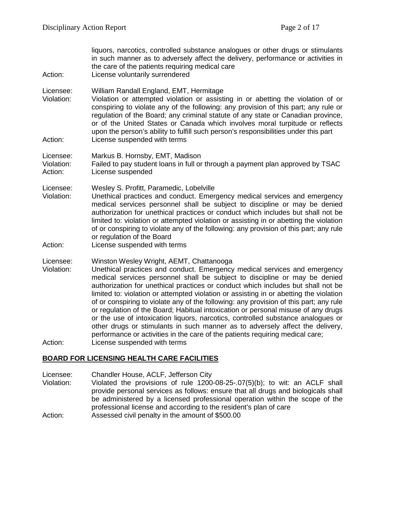liquors, narcotics, controlled substance analogues or other drugs or stimulants in such manner as to adversely affect the delivery, performance or activities in the care of the patients requiring medical care Action: License voluntarily surrendered Licensee: William Randall England, EMT, Hermitage Violation: Violation or attempted violation or assisting in or abetting the violation of or conspiring to violate any of the following: any provision of this part; any rule or regulation of the Board; any criminal statute of any state or Canadian province, or of the United States or Canada which involves moral turpitude or reflects upon the person's ability to fulfill such person's responsibilities under this part Action: License suspended with terms Licensee: Markus B. Hornsby, EMT, Madison Violation: Failed to pay student loans in full or through a payment plan approved by TSAC Action: License suspended Licensee: Wesley S. Profitt, Paramedic, Lobelville Violation: Unethical practices and conduct. Emergency medical services and emergency medical services personnel shall be subject to discipline or may be denied authorization for unethical practices or conduct which includes but shall not be limited to: violation or attempted violation or assisting in or abetting the violation of or conspiring to violate any of the following: any provision of this part; any rule or regulation of the Board Action: License suspended with terms Licensee: Winston Wesley Wright, AEMT, Chattanooga Violation: Unethical practices and conduct. Emergency medical services and emergency medical services personnel shall be subject to discipline or may be denied authorization for unethical practices or conduct which includes but shall not be limited to: violation or attempted violation or assisting in or abetting the violation of or conspiring to violate any of the following: any provision of this part; any rule or regulation of the Board; Habitual intoxication or personal misuse of any drugs or the use of intoxication liquors, narcotics, controlled substance analogues or other drugs or stimulants in such manner as to adversely affect the delivery, performance or activities in the care of the patients requiring medical care; Action: License suspended with terms

#### **BOARD FOR LICENSING HEALTH CARE FACILITIES**

Licensee: Chandler House, ACLF, Jefferson City Violation: Violated the provisions of rule 1200-08-25-.07(5)(b); to wit: an ACLF shall provide personal services as follows: ensure that all drugs and biologicals shall be administered by a licensed professional operation within the scope of the professional license and according to the resident's plan of care Action: Assessed civil penalty in the amount of \$500.00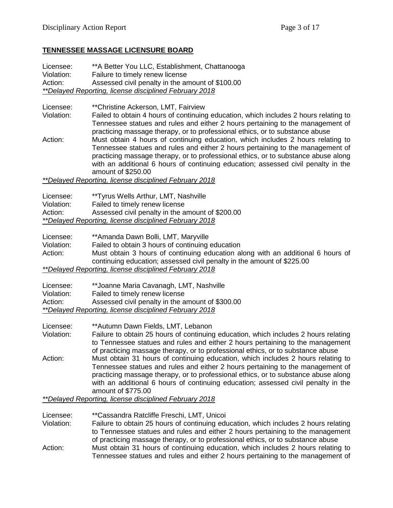# **TENNESSEE MASSAGE LICENSURE BOARD**

Licensee: \*\*A Better You LLC, Establishment, Chattanooga Violation: Failure to timely renew license Action: Assessed civil penalty in the amount of \$100.00 *\*\*Delayed Reporting, license disciplined February 2018*

Licensee: \*\*Christine Ackerson, LMT, Fairview<br>Violation: Failed to obtain 4 hours of continuing

Failed to obtain 4 hours of continuing education, which includes 2 hours relating to Tennessee statues and rules and either 2 hours pertaining to the management of practicing massage therapy, or to professional ethics, or to substance abuse

Action: Must obtain 4 hours of continuing education, which includes 2 hours relating to Tennessee statues and rules and either 2 hours pertaining to the management of practicing massage therapy, or to professional ethics, or to substance abuse along with an additional 6 hours of continuing education; assessed civil penalty in the amount of \$250.00

*\*\*Delayed Reporting, license disciplined February 2018*

| Licensee:                                                     | **Tyrus Wells Arthur, LMT, Nashville             |  |
|---------------------------------------------------------------|--------------------------------------------------|--|
| Violation:                                                    | Failed to timely renew license                   |  |
| Action:                                                       | Assessed civil penalty in the amount of \$200.00 |  |
| <i>**Delayed Reporting, license disciplined February 2018</i> |                                                  |  |

| Licensee:  | **Amanda Dawn Bolli, LMT, Maryville                                             |
|------------|---------------------------------------------------------------------------------|
| Violation: | Failed to obtain 3 hours of continuing education                                |
| Action:    | Must obtain 3 hours of continuing education along with an additional 6 hours of |
|            | continuing education; assessed civil penalty in the amount of \$225.00          |
|            | <i>**Delayed Reporting, license disciplined February 2018</i>                   |

| Licensee:  | **Joanne Maria Cavanagh, LMT, Nashville                       |
|------------|---------------------------------------------------------------|
| Violation: | Failed to timely renew license                                |
| Action:    | Assessed civil penalty in the amount of \$300.00              |
|            | <i>**Delayed Reporting, license disciplined February 2018</i> |

Licensee: \*\*Autumn Dawn Fields, LMT, Lebanon Violation: Failure to obtain 25 hours of continuing education, which includes 2 hours relating to Tennessee statues and rules and either 2 hours pertaining to the management of practicing massage therapy, or to professional ethics, or to substance abuse Action: Must obtain 31 hours of continuing education, which includes 2 hours relating to Tennessee statues and rules and either 2 hours pertaining to the management of practicing massage therapy, or to professional ethics, or to substance abuse along with an additional 6 hours of continuing education; assessed civil penalty in the amount of \$775.00

*\*\*Delayed Reporting, license disciplined February 2018*

Licensee: \*\*Cassandra Ratcliffe Freschi, LMT, Unicoi

Violation: Failure to obtain 25 hours of continuing education, which includes 2 hours relating to Tennessee statues and rules and either 2 hours pertaining to the management of practicing massage therapy, or to professional ethics, or to substance abuse Action: Must obtain 31 hours of continuing education, which includes 2 hours relating to Tennessee statues and rules and either 2 hours pertaining to the management of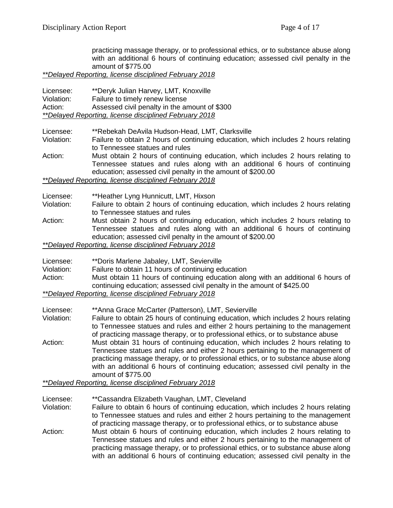practicing massage therapy, or to professional ethics, or to substance abuse along with an additional 6 hours of continuing education; assessed civil penalty in the amount of \$775.00

*\*\*Delayed Reporting, license disciplined February 2018*

| Licensee:                                                     | **Deryk Julian Harvey, LMT, Knoxville         |
|---------------------------------------------------------------|-----------------------------------------------|
| Violation:                                                    | Failure to timely renew license               |
| Action:                                                       | Assessed civil penalty in the amount of \$300 |
| <i>**Delayed Reporting, license disciplined February 2018</i> |                                               |

Licensee: \*\*Rebekah DeAvila Hudson-Head, LMT, Clarksville

- Violation: Failure to obtain 2 hours of continuing education, which includes 2 hours relating to Tennessee statues and rules
- Action: Must obtain 2 hours of continuing education, which includes 2 hours relating to Tennessee statues and rules along with an additional 6 hours of continuing education; assessed civil penalty in the amount of \$200.00

*\*\*Delayed Reporting, license disciplined February 2018*

- Licensee: \*\*Heather Lyng Hunnicutt, LMT, Hixson
- Violation: Failure to obtain 2 hours of continuing education, which includes 2 hours relating to Tennessee statues and rules
- Action: Must obtain 2 hours of continuing education, which includes 2 hours relating to Tennessee statues and rules along with an additional 6 hours of continuing education; assessed civil penalty in the amount of \$200.00

*\*\*Delayed Reporting, license disciplined February 2018*

| Licensee:  | **Doris Marlene Jabaley, LMT, Sevierville                                        |
|------------|----------------------------------------------------------------------------------|
| Violation: | Failure to obtain 11 hours of continuing education                               |
| Action:    | Must obtain 11 hours of continuing education along with an additional 6 hours of |
|            | continuing education; assessed civil penalty in the amount of \$425.00           |
|            | **Delayed Reporting, license disciplined February 2018                           |

- Licensee: \*\*Anna Grace McCarter (Patterson), LMT, Sevierville<br>Violation: Failure to obtain 25 hours of continuing education, w Failure to obtain 25 hours of continuing education, which includes 2 hours relating
- to Tennessee statues and rules and either 2 hours pertaining to the management of practicing massage therapy, or to professional ethics, or to substance abuse Action: Must obtain 31 hours of continuing education, which includes 2 hours relating to Tennessee statues and rules and either 2 hours pertaining to the management of practicing massage therapy, or to professional ethics, or to substance abuse along

with an additional 6 hours of continuing education; assessed civil penalty in the amount of \$775.00

*\*\*Delayed Reporting, license disciplined February 2018*

Licensee: \*\*Cassandra Elizabeth Vaughan, LMT, Cleveland

Violation: Failure to obtain 6 hours of continuing education, which includes 2 hours relating to Tennessee statues and rules and either 2 hours pertaining to the management of practicing massage therapy, or to professional ethics, or to substance abuse

Action: Must obtain 6 hours of continuing education, which includes 2 hours relating to Tennessee statues and rules and either 2 hours pertaining to the management of practicing massage therapy, or to professional ethics, or to substance abuse along with an additional 6 hours of continuing education; assessed civil penalty in the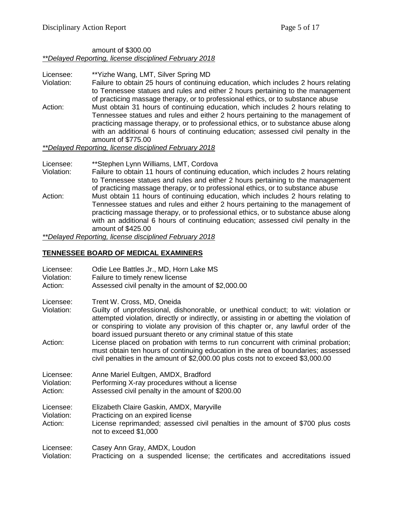#### amount of \$300.00 *\*\*Delayed Reporting, license disciplined February 2018*

Licensee: \*\*Yizhe Wang, LMT, Silver Spring MD Violation: Failure to obtain 25 hours of continuing education, which includes 2 hours relating to Tennessee statues and rules and either 2 hours pertaining to the management of practicing massage therapy, or to professional ethics, or to substance abuse Action: Must obtain 31 hours of continuing education, which includes 2 hours relating to Tennessee statues and rules and either 2 hours pertaining to the management of practicing massage therapy, or to professional ethics, or to substance abuse along with an additional 6 hours of continuing education; assessed civil penalty in the amount of \$775.00 *\*\*Delayed Reporting, license disciplined February 2018*

#### Licensee: \*\*Stephen Lynn Williams, LMT, Cordova

- Violation: Failure to obtain 11 hours of continuing education, which includes 2 hours relating to Tennessee statues and rules and either 2 hours pertaining to the management of practicing massage therapy, or to professional ethics, or to substance abuse
- Action: Must obtain 11 hours of continuing education, which includes 2 hours relating to Tennessee statues and rules and either 2 hours pertaining to the management of practicing massage therapy, or to professional ethics, or to substance abuse along with an additional 6 hours of continuing education; assessed civil penalty in the amount of \$425.00

*\*\*Delayed Reporting, license disciplined February 2018*

#### **TENNESSEE BOARD OF MEDICAL EXAMINERS**

| Licensee:                          | Odie Lee Battles Jr., MD, Horn Lake MS                                                                                                                                                                                                                                                                                          |
|------------------------------------|---------------------------------------------------------------------------------------------------------------------------------------------------------------------------------------------------------------------------------------------------------------------------------------------------------------------------------|
| Violation:                         | Failure to timely renew license                                                                                                                                                                                                                                                                                                 |
| Action:                            | Assessed civil penalty in the amount of \$2,000.00                                                                                                                                                                                                                                                                              |
| Licensee:<br>Violation:            | Trent W. Cross, MD, Oneida<br>Guilty of unprofessional, dishonorable, or unethical conduct; to wit: violation or<br>attempted violation, directly or indirectly, or assisting in or abetting the violation of<br>or conspiring to violate any provision of this chapter or, any lawful order of the                             |
| Action:                            | board issued pursuant thereto or any criminal statue of this state<br>License placed on probation with terms to run concurrent with criminal probation;<br>must obtain ten hours of continuing education in the area of boundaries; assessed<br>civil penalties in the amount of \$2,000.00 plus costs not to exceed \$3,000.00 |
| Licensee:                          | Anne Mariel Eultgen, AMDX, Bradford                                                                                                                                                                                                                                                                                             |
| Violation:                         | Performing X-ray procedures without a license                                                                                                                                                                                                                                                                                   |
| Action:                            | Assessed civil penalty in the amount of \$200.00                                                                                                                                                                                                                                                                                |
| Licensee:<br>Violation:<br>Action: | Elizabeth Claire Gaskin, AMDX, Maryville<br>Practicing on an expired license<br>License reprimanded; assessed civil penalties in the amount of \$700 plus costs<br>not to exceed \$1,000                                                                                                                                        |
| Licensee:                          | Casey Ann Gray, AMDX, Loudon                                                                                                                                                                                                                                                                                                    |
| Violation:                         | Practicing on a suspended license; the certificates and accreditations issued                                                                                                                                                                                                                                                   |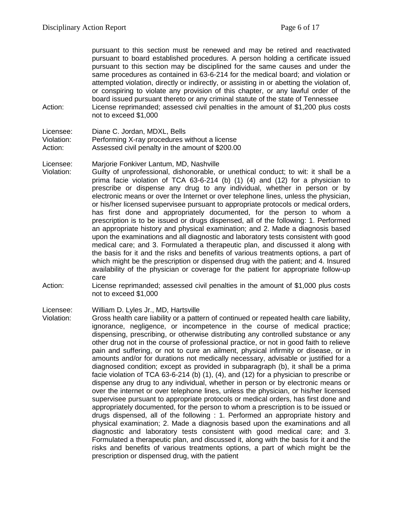pursuant to this section must be renewed and may be retired and reactivated pursuant to board established procedures. A person holding a certificate issued pursuant to this section may be disciplined for the same causes and under the same procedures as contained in 63-6-214 for the medical board; and violation or attempted violation, directly or indirectly, or assisting in or abetting the violation of, or conspiring to violate any provision of this chapter, or any lawful order of the board issued pursuant thereto or any criminal statute of the state of Tennessee Action: License reprimanded; assessed civil penalties in the amount of \$1,200 plus costs not to exceed \$1,000

Licensee: Diane C. Jordan, MDXL, Bells Violation: Performing X-ray procedures without a license Action: Assessed civil penalty in the amount of \$200.00

Licensee: Marjorie Fonkiver Lantum, MD, Nashville

Violation: Guilty of unprofessional, dishonorable, or unethical conduct; to wit: it shall be a prima facie violation of TCA 63-6-214 (b) (1) (4) and (12) for a physician to prescribe or dispense any drug to any individual, whether in person or by electronic means or over the Internet or over telephone lines, unless the physician, or his/her licensed supervisee pursuant to appropriate protocols or medical orders, has first done and appropriately documented, for the person to whom a prescription is to be issued or drugs dispensed, all of the following: 1. Performed an appropriate history and physical examination; and 2. Made a diagnosis based upon the examinations and all diagnostic and laboratory tests consistent with good medical care; and 3. Formulated a therapeutic plan, and discussed it along with the basis for it and the risks and benefits of various treatments options, a part of which might be the prescription or dispensed drug with the patient; and 4. Insured availability of the physician or coverage for the patient for appropriate follow-up care

Action: License reprimanded; assessed civil penalties in the amount of \$1,000 plus costs not to exceed \$1,000

Licensee: William D. Lyles Jr., MD, Hartsville

Violation: Gross health care liability or a pattern of continued or repeated health care liability, ignorance, negligence, or incompetence in the course of medical practice; dispensing, prescribing, or otherwise distributing any controlled substance or any other drug not in the course of professional practice, or not in good faith to relieve pain and suffering, or not to cure an ailment, physical infirmity or disease, or in amounts and/or for durations not medically necessary, advisable or justified for a diagnosed condition; except as provided in subparagraph (b), it shall be a prima facie violation of TCA 63-6-214 (b) (1), (4), and (12) for a physician to prescribe or dispense any drug to any individual, whether in person or by electronic means or over the internet or over telephone lines, unless the physician, or his/her licensed supervisee pursuant to appropriate protocols or medical orders, has first done and appropriately documented, for the person to whom a prescription is to be issued or drugs dispensed, all of the following : 1. Performed an appropriate history and physical examination; 2. Made a diagnosis based upon the examinations and all diagnostic and laboratory tests consistent with good medical care; and 3. Formulated a therapeutic plan, and discussed it, along with the basis for it and the risks and benefits of various treatments options, a part of which might be the prescription or dispensed drug, with the patient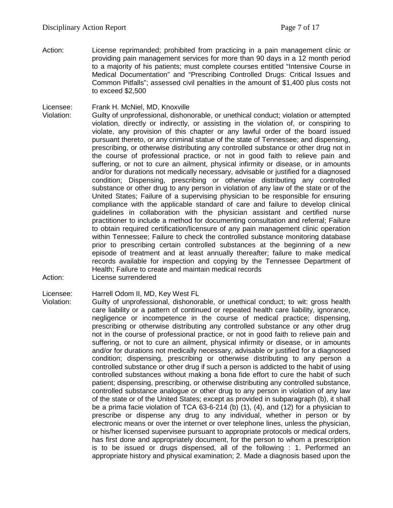Action: License reprimanded; prohibited from practicing in a pain management clinic or providing pain management services for more than 90 days in a 12 month period to a majority of his patients; must complete courses entitled "Intensive Course in Medical Documentation" and "Prescribing Controlled Drugs: Critical Issues and Common Pitfalls"; assessed civil penalties in the amount of \$1,400 plus costs not to exceed \$2,500

Licensee: Frank H. McNiel, MD, Knoxville<br>Violation: Guilty of unprofessional. dishon

Guilty of unprofessional, dishonorable, or unethical conduct; violation or attempted violation, directly or indirectly, or assisting in the violation of, or conspiring to violate, any provision of this chapter or any lawful order of the board issued pursuant thereto, or any criminal statue of the state of Tennessee; and dispensing, prescribing, or otherwise distributing any controlled substance or other drug not in the course of professional practice, or not in good faith to relieve pain and suffering, or not to cure an ailment, physical infirmity or disease, or in amounts and/or for durations not medically necessary, advisable or justified for a diagnosed condition; Dispensing, prescribing or otherwise distributing any controlled substance or other drug to any person in violation of any law of the state or of the United States; Failure of a supervising physician to be responsible for ensuring compliance with the applicable standard of care and failure to develop clinical guidelines in collaboration with the physician assistant and certified nurse practitioner to include a method for documenting consultation and referral; Failure to obtain required certification/licensure of any pain management clinic operation within Tennessee; Failure to check the controlled substance monitoring database prior to prescribing certain controlled substances at the beginning of a new episode of treatment and at least annually thereafter; failure to make medical records available for inspection and copying by the Tennessee Department of Health; Failure to create and maintain medical records

Action: License surrendered

Licensee: Harrell Odom II, MD, Key West FL

Violation: Guilty of unprofessional, dishonorable, or unethical conduct; to wit: gross health care liability or a pattern of continued or repeated health care liability, ignorance, negligence or incompetence in the course of medical practice; dispensing, prescribing or otherwise distributing any controlled substance or any other drug not in the course of professional practice, or not in good faith to relieve pain and suffering, or not to cure an ailment, physical infirmity or disease, or in amounts and/or for durations not medically necessary, advisable or justified for a diagnosed condition; dispensing, prescribing or otherwise distributing to any person a controlled substance or other drug if such a person is addicted to the habit of using controlled substances without making a bona fide effort to cure the habit of such patient; dispensing, prescribing, or otherwise distributing any controlled substance, controlled substance analogue or other drug to any person in violation of any law of the state or of the United States; except as provided in subparagraph (b), it shall be a prima facie violation of TCA 63-6-214 (b) (1), (4), and (12) for a physician to prescribe or dispense any drug to any individual, whether in person or by electronic means or over the internet or over telephone lines, unless the physician, or his/her licensed supervisee pursuant to appropriate protocols or medical orders, has first done and appropriately document, for the person to whom a prescription is to be issued or drugs dispensed, all of the following : 1. Performed an appropriate history and physical examination; 2. Made a diagnosis based upon the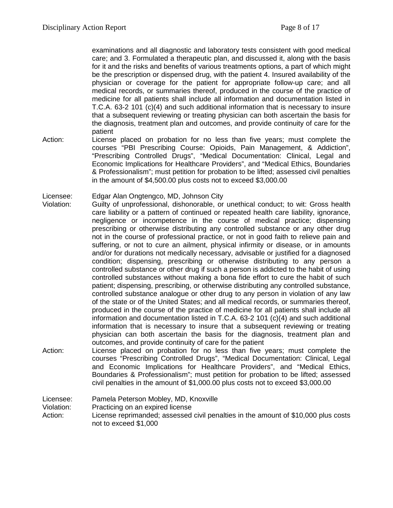examinations and all diagnostic and laboratory tests consistent with good medical care; and 3. Formulated a therapeutic plan, and discussed it, along with the basis for it and the risks and benefits of various treatments options, a part of which might be the prescription or dispensed drug, with the patient 4. Insured availability of the physician or coverage for the patient for appropriate follow-up care; and all medical records, or summaries thereof, produced in the course of the practice of medicine for all patients shall include all information and documentation listed in T.C.A. 63-2 101 (c)(4) and such additional information that is necessary to insure that a subsequent reviewing or treating physician can both ascertain the basis for the diagnosis, treatment plan and outcomes, and provide continuity of care for the patient

- Action: License placed on probation for no less than five years; must complete the courses "PBI Prescribing Course: Opioids, Pain Management, & Addiction", "Prescribing Controlled Drugs", "Medical Documentation: Clinical, Legal and Economic Implications for Healthcare Providers", and "Medical Ethics, Boundaries & Professionalism"; must petition for probation to be lifted; assessed civil penalties in the amount of \$4,500.00 plus costs not to exceed \$3,000.00
- Licensee: Edgar Alan Ongtengco, MD, Johnson City
- Violation: Guilty of unprofessional, dishonorable, or unethical conduct; to wit: Gross health care liability or a pattern of continued or repeated health care liability, ignorance, negligence or incompetence in the course of medical practice; dispensing prescribing or otherwise distributing any controlled substance or any other drug not in the course of professional practice, or not in good faith to relieve pain and suffering, or not to cure an ailment, physical infirmity or disease, or in amounts and/or for durations not medically necessary, advisable or justified for a diagnosed condition; dispensing, prescribing or otherwise distributing to any person a controlled substance or other drug if such a person is addicted to the habit of using controlled substances without making a bona fide effort to cure the habit of such patient; dispensing, prescribing, or otherwise distributing any controlled substance, controlled substance analogue or other drug to any person in violation of any law of the state or of the United States; and all medical records, or summaries thereof, produced in the course of the practice of medicine for all patients shall include all information and documentation listed in T.C.A. 63-2 101 (c)(4) and such additional information that is necessary to insure that a subsequent reviewing or treating physician can both ascertain the basis for the diagnosis, treatment plan and outcomes, and provide continuity of care for the patient
- Action: License placed on probation for no less than five years; must complete the courses "Prescribing Controlled Drugs", "Medical Documentation: Clinical, Legal and Economic Implications for Healthcare Providers", and "Medical Ethics, Boundaries & Professionalism"; must petition for probation to be lifted; assessed civil penalties in the amount of \$1,000.00 plus costs not to exceed \$3,000.00

Licensee: Pamela Peterson Mobley, MD, Knoxville Violation: Practicing on an expired license Action: License reprimanded; assessed civil penalties in the amount of \$10,000 plus costs not to exceed \$1,000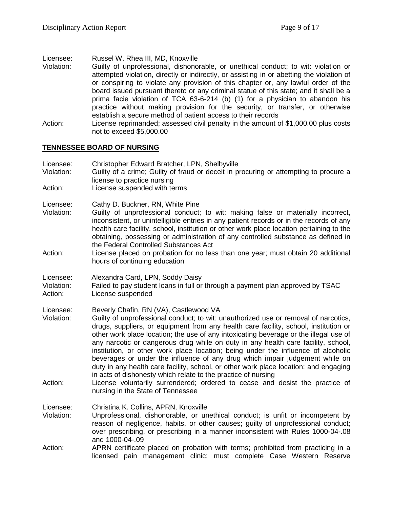Licensee: Russel W. Rhea III, MD, Knoxville

- Violation: Guilty of unprofessional, dishonorable, or unethical conduct; to wit: violation or attempted violation, directly or indirectly, or assisting in or abetting the violation of or conspiring to violate any provision of this chapter or, any lawful order of the board issued pursuant thereto or any criminal statue of this state; and it shall be a prima facie violation of TCA 63-6-214 (b) (1) for a physician to abandon his practice without making provision for the security, or transfer, or otherwise establish a secure method of patient access to their records
- Action: License reprimanded; assessed civil penalty in the amount of \$1,000.00 plus costs not to exceed \$5,000.00

#### **TENNESSEE BOARD OF NURSING**

| Licensee:<br>Violation:<br>Action: | Christopher Edward Bratcher, LPN, Shelbyville<br>Guilty of a crime; Guilty of fraud or deceit in procuring or attempting to procure a<br>license to practice nursing<br>License suspended with terms                                                                                                                                                                                                                                                                                                                                                                                                                                                                                                                                                                                                                                                   |
|------------------------------------|--------------------------------------------------------------------------------------------------------------------------------------------------------------------------------------------------------------------------------------------------------------------------------------------------------------------------------------------------------------------------------------------------------------------------------------------------------------------------------------------------------------------------------------------------------------------------------------------------------------------------------------------------------------------------------------------------------------------------------------------------------------------------------------------------------------------------------------------------------|
| Licensee:<br>Violation:            | Cathy D. Buckner, RN, White Pine<br>Guilty of unprofessional conduct; to wit: making false or materially incorrect,<br>inconsistent, or unintelligible entries in any patient records or in the records of any<br>health care facility, school, institution or other work place location pertaining to the<br>obtaining, possessing or administration of any controlled substance as defined in<br>the Federal Controlled Substances Act                                                                                                                                                                                                                                                                                                                                                                                                               |
| Action:                            | License placed on probation for no less than one year; must obtain 20 additional<br>hours of continuing education                                                                                                                                                                                                                                                                                                                                                                                                                                                                                                                                                                                                                                                                                                                                      |
| Licensee:<br>Violation:<br>Action: | Alexandra Card, LPN, Soddy Daisy<br>Failed to pay student loans in full or through a payment plan approved by TSAC<br>License suspended                                                                                                                                                                                                                                                                                                                                                                                                                                                                                                                                                                                                                                                                                                                |
| Licensee:<br>Violation:<br>Action: | Beverly Chafin, RN (VA), Castlewood VA<br>Guilty of unprofessional conduct; to wit: unauthorized use or removal of narcotics,<br>drugs, suppliers, or equipment from any health care facility, school, institution or<br>other work place location; the use of any intoxicating beverage or the illegal use of<br>any narcotic or dangerous drug while on duty in any health care facility, school,<br>institution, or other work place location; being under the influence of alcoholic<br>beverages or under the influence of any drug which impair judgement while on<br>duty in any health care facility, school, or other work place location; and engaging<br>in acts of dishonesty which relate to the practice of nursing<br>License voluntarily surrendered; ordered to cease and desist the practice of<br>nursing in the State of Tennessee |
| Licensee:<br>Violation:            | Christina K. Collins, APRN, Knoxville<br>Unprofessional, dishonorable, or unethical conduct; is unfit or incompetent by<br>reason of negligence, habits, or other causes; guilty of unprofessional conduct;<br>over prescribing, or prescribing in a manner inconsistent with Rules 1000-04-.08<br>and 1000-04-.09                                                                                                                                                                                                                                                                                                                                                                                                                                                                                                                                     |
| Action:                            | APRN certificate placed on probation with terms; prohibited from practicing in a<br>licensed pain management clinic; must complete Case Western Reserve                                                                                                                                                                                                                                                                                                                                                                                                                                                                                                                                                                                                                                                                                                |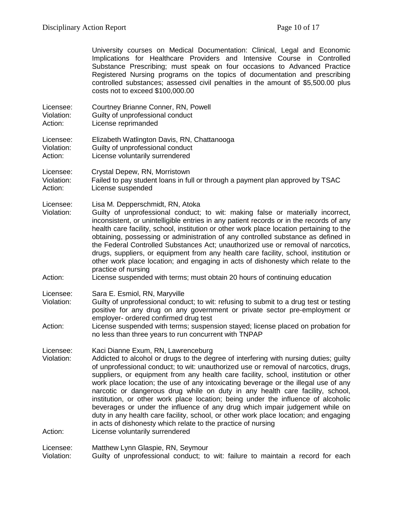|                                    | University courses on Medical Documentation: Clinical, Legal and Economic<br>Implications for Healthcare Providers and Intensive Course in Controlled<br>Substance Prescribing; must speak on four occasions to Advanced Practice<br>Registered Nursing programs on the topics of documentation and prescribing<br>controlled substances; assessed civil penalties in the amount of \$5,500.00 plus<br>costs not to exceed \$100,000.00                                                                                                                                                                                                                                                                                                                                                                         |
|------------------------------------|-----------------------------------------------------------------------------------------------------------------------------------------------------------------------------------------------------------------------------------------------------------------------------------------------------------------------------------------------------------------------------------------------------------------------------------------------------------------------------------------------------------------------------------------------------------------------------------------------------------------------------------------------------------------------------------------------------------------------------------------------------------------------------------------------------------------|
| Licensee:<br>Violation:<br>Action: | Courtney Brianne Conner, RN, Powell<br>Guilty of unprofessional conduct<br>License reprimanded                                                                                                                                                                                                                                                                                                                                                                                                                                                                                                                                                                                                                                                                                                                  |
| Licensee:<br>Violation:<br>Action: | Elizabeth Watlington Davis, RN, Chattanooga<br>Guilty of unprofessional conduct<br>License voluntarily surrendered                                                                                                                                                                                                                                                                                                                                                                                                                                                                                                                                                                                                                                                                                              |
| Licensee:<br>Violation:<br>Action: | Crystal Depew, RN, Morristown<br>Failed to pay student loans in full or through a payment plan approved by TSAC<br>License suspended                                                                                                                                                                                                                                                                                                                                                                                                                                                                                                                                                                                                                                                                            |
| Licensee:<br>Violation:            | Lisa M. Depperschmidt, RN, Atoka<br>Guilty of unprofessional conduct; to wit: making false or materially incorrect,<br>inconsistent, or unintelligible entries in any patient records or in the records of any<br>health care facility, school, institution or other work place location pertaining to the<br>obtaining, possessing or administration of any controlled substance as defined in<br>the Federal Controlled Substances Act; unauthorized use or removal of narcotics,<br>drugs, suppliers, or equipment from any health care facility, school, institution or<br>other work place location; and engaging in acts of dishonesty which relate to the<br>practice of nursing                                                                                                                         |
| Action:                            | License suspended with terms; must obtain 20 hours of continuing education                                                                                                                                                                                                                                                                                                                                                                                                                                                                                                                                                                                                                                                                                                                                      |
| Licensee:<br>Violation:<br>Action: | Sara E. Esmiol, RN, Maryville<br>Guilty of unprofessional conduct; to wit: refusing to submit to a drug test or testing<br>positive for any drug on any government or private sector pre-employment or<br>employer- ordered confirmed drug test<br>License suspended with terms; suspension stayed; license placed on probation for<br>no less than three years to run concurrent with TNPAP                                                                                                                                                                                                                                                                                                                                                                                                                    |
| Licensee:<br>Violation:            | Kaci Dianne Exum, RN, Lawrenceburg<br>Addicted to alcohol or drugs to the degree of interfering with nursing duties; guilty<br>of unprofessional conduct; to wit: unauthorized use or removal of narcotics, drugs,<br>suppliers, or equipment from any health care facility, school, institution or other<br>work place location; the use of any intoxicating beverage or the illegal use of any<br>narcotic or dangerous drug while on duty in any health care facility, school,<br>institution, or other work place location; being under the influence of alcoholic<br>beverages or under the influence of any drug which impair judgement while on<br>duty in any health care facility, school, or other work place location; and engaging<br>in acts of dishonesty which relate to the practice of nursing |
| Action:                            | License voluntarily surrendered                                                                                                                                                                                                                                                                                                                                                                                                                                                                                                                                                                                                                                                                                                                                                                                 |
| Licensee:                          | Matthew Lynn Glaspie, RN, Seymour                                                                                                                                                                                                                                                                                                                                                                                                                                                                                                                                                                                                                                                                                                                                                                               |

Violation: Guilty of unprofessional conduct; to wit: failure to maintain a record for each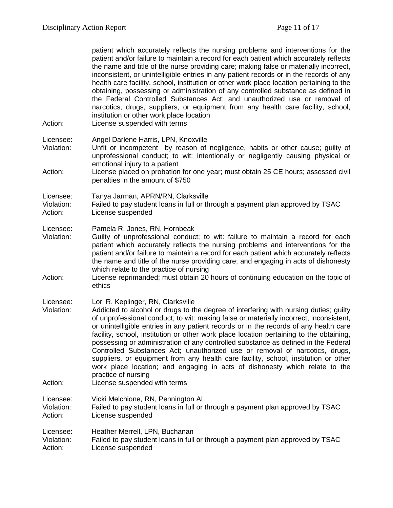| Action:                            | patient which accurately reflects the nursing problems and interventions for the<br>patient and/or failure to maintain a record for each patient which accurately reflects<br>the name and title of the nurse providing care; making false or materially incorrect,<br>inconsistent, or unintelligible entries in any patient records or in the records of any<br>health care facility, school, institution or other work place location pertaining to the<br>obtaining, possessing or administration of any controlled substance as defined in<br>the Federal Controlled Substances Act; and unauthorized use or removal of<br>narcotics, drugs, suppliers, or equipment from any health care facility, school,<br>institution or other work place location<br>License suspended with terms |
|------------------------------------|----------------------------------------------------------------------------------------------------------------------------------------------------------------------------------------------------------------------------------------------------------------------------------------------------------------------------------------------------------------------------------------------------------------------------------------------------------------------------------------------------------------------------------------------------------------------------------------------------------------------------------------------------------------------------------------------------------------------------------------------------------------------------------------------|
| Licensee:                          | Angel Darlene Harris, LPN, Knoxville                                                                                                                                                                                                                                                                                                                                                                                                                                                                                                                                                                                                                                                                                                                                                         |
| Violation:                         | Unfit or incompetent by reason of negligence, habits or other cause; guilty of<br>unprofessional conduct; to wit: intentionally or negligently causing physical or                                                                                                                                                                                                                                                                                                                                                                                                                                                                                                                                                                                                                           |
| Action:                            | emotional injury to a patient<br>License placed on probation for one year; must obtain 25 CE hours; assessed civil<br>penalties in the amount of \$750                                                                                                                                                                                                                                                                                                                                                                                                                                                                                                                                                                                                                                       |
| Licensee:                          | Tanya Jarman, APRN/RN, Clarksville                                                                                                                                                                                                                                                                                                                                                                                                                                                                                                                                                                                                                                                                                                                                                           |
| Violation:<br>Action:              | Failed to pay student loans in full or through a payment plan approved by TSAC<br>License suspended                                                                                                                                                                                                                                                                                                                                                                                                                                                                                                                                                                                                                                                                                          |
| Licensee:                          | Pamela R. Jones, RN, Hornbeak                                                                                                                                                                                                                                                                                                                                                                                                                                                                                                                                                                                                                                                                                                                                                                |
| Violation:                         | Guilty of unprofessional conduct; to wit: failure to maintain a record for each<br>patient which accurately reflects the nursing problems and interventions for the<br>patient and/or failure to maintain a record for each patient which accurately reflects<br>the name and title of the nurse providing care; and engaging in acts of dishonesty<br>which relate to the practice of nursing                                                                                                                                                                                                                                                                                                                                                                                               |
| Action:                            | License reprimanded; must obtain 20 hours of continuing education on the topic of<br>ethics                                                                                                                                                                                                                                                                                                                                                                                                                                                                                                                                                                                                                                                                                                  |
| Licensee:<br>Violation:            | Lori R. Keplinger, RN, Clarksville<br>Addicted to alcohol or drugs to the degree of interfering with nursing duties; guilty<br>of unprofessional conduct; to wit: making false or materially incorrect, inconsistent,<br>or unintelligible entries in any patient records or in the records of any health care<br>facility, school, institution or other work place location pertaining to the obtaining,<br>possessing or administration of any controlled substance as defined in the Federal<br>Controlled Substances Act; unauthorized use or removal of narcotics, drugs,<br>suppliers, or equipment from any health care facility, school, institution or other<br>work place location; and engaging in acts of dishonesty which relate to the                                         |
| Action:                            | practice of nursing<br>License suspended with terms                                                                                                                                                                                                                                                                                                                                                                                                                                                                                                                                                                                                                                                                                                                                          |
| Licensee:<br>Violation:<br>Action: | Vicki Melchione, RN, Pennington AL<br>Failed to pay student loans in full or through a payment plan approved by TSAC<br>License suspended                                                                                                                                                                                                                                                                                                                                                                                                                                                                                                                                                                                                                                                    |
| Licensee:<br>Violation:<br>Action: | Heather Merrell, LPN, Buchanan<br>Failed to pay student loans in full or through a payment plan approved by TSAC<br>License suspended                                                                                                                                                                                                                                                                                                                                                                                                                                                                                                                                                                                                                                                        |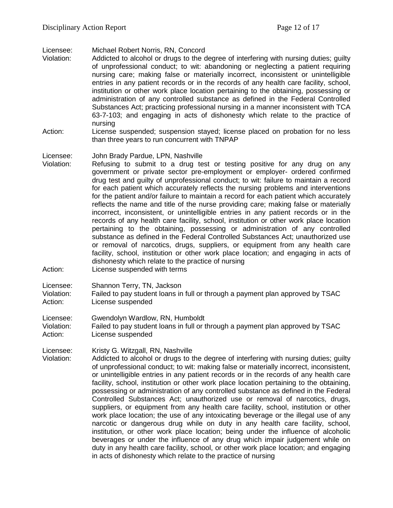Licensee: Michael Robert Norris, RN, Concord

- Addicted to alcohol or drugs to the degree of interfering with nursing duties; guilty of unprofessional conduct; to wit: abandoning or neglecting a patient requiring nursing care; making false or materially incorrect, inconsistent or unintelligible entries in any patient records or in the records of any health care facility, school, institution or other work place location pertaining to the obtaining, possessing or administration of any controlled substance as defined in the Federal Controlled Substances Act; practicing professional nursing in a manner inconsistent with TCA 63-7-103; and engaging in acts of dishonesty which relate to the practice of nursing
- Action: License suspended; suspension stayed; license placed on probation for no less than three years to run concurrent with TNPAP

#### Licensee: John Brady Pardue, LPN, Nashville

- Violation: Refusing to submit to a drug test or testing positive for any drug on any government or private sector pre-employment or employer- ordered confirmed drug test and guilty of unprofessional conduct; to wit: failure to maintain a record for each patient which accurately reflects the nursing problems and interventions for the patient and/or failure to maintain a record for each patient which accurately reflects the name and title of the nurse providing care; making false or materially incorrect, inconsistent, or unintelligible entries in any patient records or in the records of any health care facility, school, institution or other work place location pertaining to the obtaining, possessing or administration of any controlled substance as defined in the Federal Controlled Substances Act; unauthorized use or removal of narcotics, drugs, suppliers, or equipment from any health care facility, school, institution or other work place location; and engaging in acts of dishonesty which relate to the practice of nursing
- Action: License suspended with terms
- Licensee: Shannon Terry, TN, Jackson
- Violation: Failed to pay student loans in full or through a payment plan approved by TSAC Action: License suspended
- Licensee: Gwendolyn Wardlow, RN, Humboldt

Violation: Failed to pay student loans in full or through a payment plan approved by TSAC Action: License suspended

Licensee: Kristy G. Witzgall, RN, Nashville<br>Violation: Addicted to alcohol or drugs to t

Addicted to alcohol or drugs to the degree of interfering with nursing duties; guilty of unprofessional conduct; to wit: making false or materially incorrect, inconsistent, or unintelligible entries in any patient records or in the records of any health care facility, school, institution or other work place location pertaining to the obtaining, possessing or administration of any controlled substance as defined in the Federal Controlled Substances Act; unauthorized use or removal of narcotics, drugs, suppliers, or equipment from any health care facility, school, institution or other work place location; the use of any intoxicating beverage or the illegal use of any narcotic or dangerous drug while on duty in any health care facility, school, institution, or other work place location; being under the influence of alcoholic beverages or under the influence of any drug which impair judgement while on duty in any health care facility, school, or other work place location; and engaging in acts of dishonesty which relate to the practice of nursing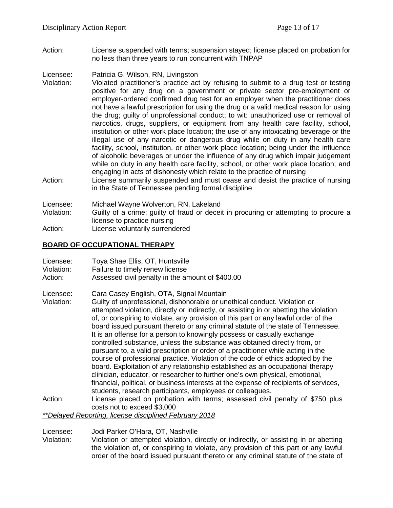Action: License suspended with terms; suspension stayed; license placed on probation for no less than three years to run concurrent with TNPAP

Licensee: Patricia G. Wilson, RN, Livingston

- Violation: Violated practitioner's practice act by refusing to submit to a drug test or testing positive for any drug on a government or private sector pre-employment or employer-ordered confirmed drug test for an employer when the practitioner does not have a lawful prescription for using the drug or a valid medical reason for using the drug; guilty of unprofessional conduct; to wit: unauthorized use or removal of narcotics, drugs, suppliers, or equipment from any health care facility, school, institution or other work place location; the use of any intoxicating beverage or the illegal use of any narcotic or dangerous drug while on duty in any health care facility, school, institution, or other work place location; being under the influence of alcoholic beverages or under the influence of any drug which impair judgement while on duty in any health care facility, school, or other work place location; and engaging in acts of dishonesty which relate to the practice of nursing
- Action: License summarily suspended and must cease and desist the practice of nursing in the State of Tennessee pending formal discipline

Licensee: Michael Wayne Wolverton, RN, Lakeland

- Violation: Guilty of a crime; guilty of fraud or deceit in procuring or attempting to procure a license to practice nursing
- Action: License voluntarily surrendered

## **BOARD OF OCCUPATIONAL THERAPY**

| Licensee:  | Toya Shae Ellis, OT, Huntsville                  |
|------------|--------------------------------------------------|
| Violation: | Failure to timely renew license                  |
| Action:    | Assessed civil penalty in the amount of \$400.00 |

Licensee: Cara Casey English, OTA, Signal Mountain

- Violation: Guilty of unprofessional, dishonorable or unethical conduct. Violation or attempted violation, directly or indirectly, or assisting in or abetting the violation of, or conspiring to violate, any provision of this part or any lawful order of the board issued pursuant thereto or any criminal statute of the state of Tennessee. It is an offense for a person to knowingly possess or casually exchange controlled substance, unless the substance was obtained directly from, or pursuant to, a valid prescription or order of a practitioner while acting in the course of professional practice. Violation of the code of ethics adopted by the board. Exploitation of any relationship established as an occupational therapy clinician, educator, or researcher to further one's own physical, emotional, financial, political, or business interests at the expense of recipients of services, students, research participants, employees or colleagues.
- Action: License placed on probation with terms; assessed civil penalty of \$750 plus costs not to exceed \$3,000

*\*\*Delayed Reporting, license disciplined February 2018*

Licensee: Jodi Parker O'Hara, OT, Nashville

Violation: Violation or attempted violation, directly or indirectly, or assisting in or abetting the violation of, or conspiring to violate, any provision of this part or any lawful order of the board issued pursuant thereto or any criminal statute of the state of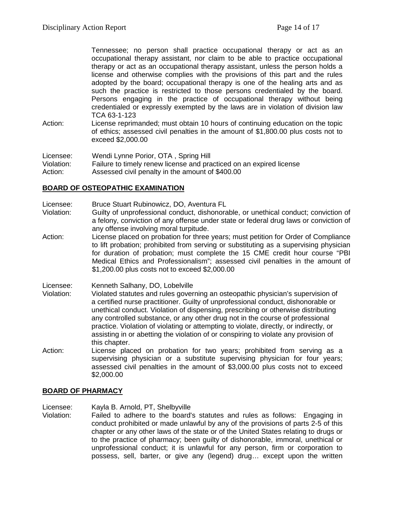Tennessee; no person shall practice occupational therapy or act as an occupational therapy assistant, nor claim to be able to practice occupational therapy or act as an occupational therapy assistant, unless the person holds a license and otherwise complies with the provisions of this part and the rules adopted by the board; occupational therapy is one of the healing arts and as such the practice is restricted to those persons credentialed by the board. Persons engaging in the practice of occupational therapy without being credentialed or expressly exempted by the laws are in violation of division law TCA 63-1-123

Action: License reprimanded; must obtain 10 hours of continuing education on the topic of ethics; assessed civil penalties in the amount of \$1,800.00 plus costs not to exceed \$2,000.00

Licensee: Wendi Lynne Porior, OTA , Spring Hill Violation: Failure to timely renew license and practiced on an expired license Action: Assessed civil penalty in the amount of \$400.00

## **BOARD OF OSTEOPATHIC EXAMINATION**

- Licensee: Bruce Stuart Rubinowicz, DO, Aventura FL
- Violation: Guilty of unprofessional conduct, dishonorable, or unethical conduct; conviction of a felony, conviction of any offense under state or federal drug laws or conviction of any offense involving moral turpitude.
- Action: License placed on probation for three years; must petition for Order of Compliance to lift probation; prohibited from serving or substituting as a supervising physician for duration of probation; must complete the 15 CME credit hour course "PBI Medical Ethics and Professionalism"; assessed civil penalties in the amount of \$1,200.00 plus costs not to exceed \$2,000.00
- Licensee: Kenneth Salhany, DO, Lobelville
- Violation: Violated statutes and rules governing an osteopathic physician's supervision of a certified nurse practitioner. Guilty of unprofessional conduct, dishonorable or unethical conduct. Violation of dispensing, prescribing or otherwise distributing any controlled substance, or any other drug not in the course of professional practice. Violation of violating or attempting to violate, directly, or indirectly, or assisting in or abetting the violation of or conspiring to violate any provision of this chapter.
- Action: License placed on probation for two years; prohibited from serving as a supervising physician or a substitute supervising physician for four years; assessed civil penalties in the amount of \$3,000.00 plus costs not to exceed \$2,000.00

#### **BOARD OF PHARMACY**

Licensee: Kayla B. Arnold, PT, Shelbyville

Violation: Failed to adhere to the board's statutes and rules as follows: Engaging in conduct prohibited or made unlawful by any of the provisions of parts 2-5 of this chapter or any other laws of the state or of the United States relating to drugs or to the practice of pharmacy; been guilty of dishonorable, immoral, unethical or unprofessional conduct; it is unlawful for any person, firm or corporation to possess, sell, barter, or give any (legend) drug… except upon the written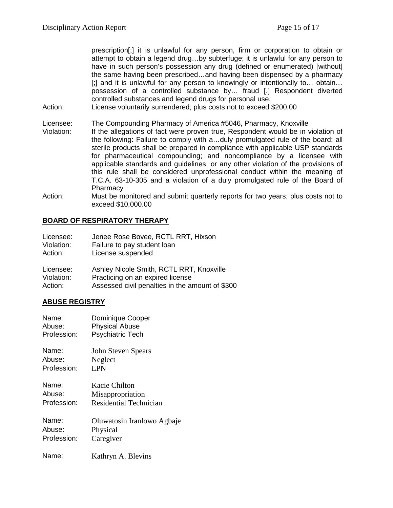prescription[;] it is unlawful for any person, firm or corporation to obtain or attempt to obtain a legend drug…by subterfuge; it is unlawful for any person to have in such person's possession any drug (defined or enumerated) [without] the same having been prescribed…and having been dispensed by a pharmacy [;] and it is unlawful for any person to knowingly or intentionally to… obtain… possession of a controlled substance by… fraud [.] Respondent diverted controlled substances and legend drugs for personal use.

Action: License voluntarily surrendered; plus costs not to exceed \$200.00

Licensee: The Compounding Pharmacy of America #5046, Pharmacy, Knoxville

- Violation: If the allegations of fact were proven true, Respondent would be in violation of the following: Failure to comply with a…duly promulgated rule of the board; all sterile products shall be prepared in compliance with applicable USP standards for pharmaceutical compounding; and noncompliance by a licensee with applicable standards and guidelines, or any other violation of the provisions of this rule shall be considered unprofessional conduct within the meaning of T.C.A. 63-10-305 and a violation of a duly promulgated rule of the Board of **Pharmacy**
- Action: Must be monitored and submit quarterly reports for two years; plus costs not to exceed \$10,000.00

## **BOARD OF RESPIRATORY THERAPY**

| Licensee:  | Jenee Rose Bovee, RCTL RRT, Hixson |
|------------|------------------------------------|
| Violation: | Failure to pay student loan        |
| Action:    | License suspended                  |

| Licensee:  | Ashley Nicole Smith, RCTL RRT, Knoxville        |
|------------|-------------------------------------------------|
| Violation: | Practicing on an expired license                |
| Action:    | Assessed civil penalties in the amount of \$300 |

#### **ABUSE REGISTRY**

| Name:       | Dominique Cooper              |
|-------------|-------------------------------|
| Abuse:      | <b>Physical Abuse</b>         |
| Profession: | <b>Psychiatric Tech</b>       |
| Name:       | <b>John Steven Spears</b>     |
| Abuse:      | Neglect                       |
| Profession: | <b>LPN</b>                    |
| Name:       | Kacie Chilton                 |
| Abuse:      | Misappropriation              |
| Profession: | <b>Residential Technician</b> |
| Name:       | Oluwatosin Iranlowo Agbaje    |
| Abuse:      | Physical                      |
| Profession: | Caregiver                     |
| Name:       | Kathryn A. Blevins            |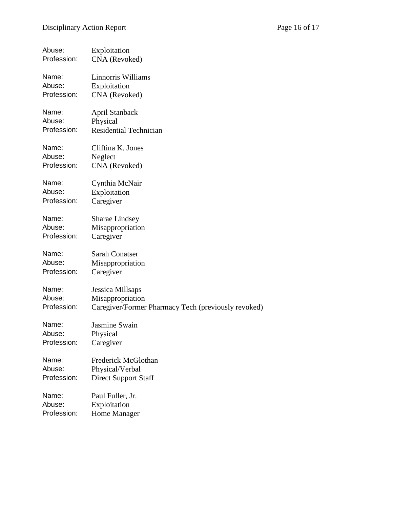| Abuse:      | Exploitation                                        |
|-------------|-----------------------------------------------------|
| Profession: | CNA (Revoked)                                       |
| Name:       | Linnorris Williams                                  |
| Abuse:      | Exploitation                                        |
| Profession: | CNA (Revoked)                                       |
| Name:       | April Stanback                                      |
| Abuse:      | Physical                                            |
| Profession: | <b>Residential Technician</b>                       |
| Name:       | Cliftina K. Jones                                   |
| Abuse:      | Neglect                                             |
| Profession: | CNA (Revoked)                                       |
| Name:       | Cynthia McNair                                      |
| Abuse:      | Exploitation                                        |
| Profession: | Caregiver                                           |
| Name:       | <b>Sharae Lindsey</b>                               |
| Abuse:      | Misappropriation                                    |
| Profession: | Caregiver                                           |
| Name:       | <b>Sarah Conatser</b>                               |
| Abuse:      | Misappropriation                                    |
| Profession: | Caregiver                                           |
| Name:       | Jessica Millsaps                                    |
| Abuse:      | Misappropriation                                    |
| Profession: | Caregiver/Former Pharmacy Tech (previously revoked) |
| Name:       | Jasmine Swain                                       |
| Abuse:      | Physical                                            |
| Profession: | Caregiver                                           |
| Name:       | Frederick McGlothan                                 |
| Abuse:      | Physical/Verbal                                     |
| Profession: | <b>Direct Support Staff</b>                         |
| Name:       | Paul Fuller, Jr.                                    |
| Abuse:      | Exploitation                                        |
| Profession: | Home Manager                                        |